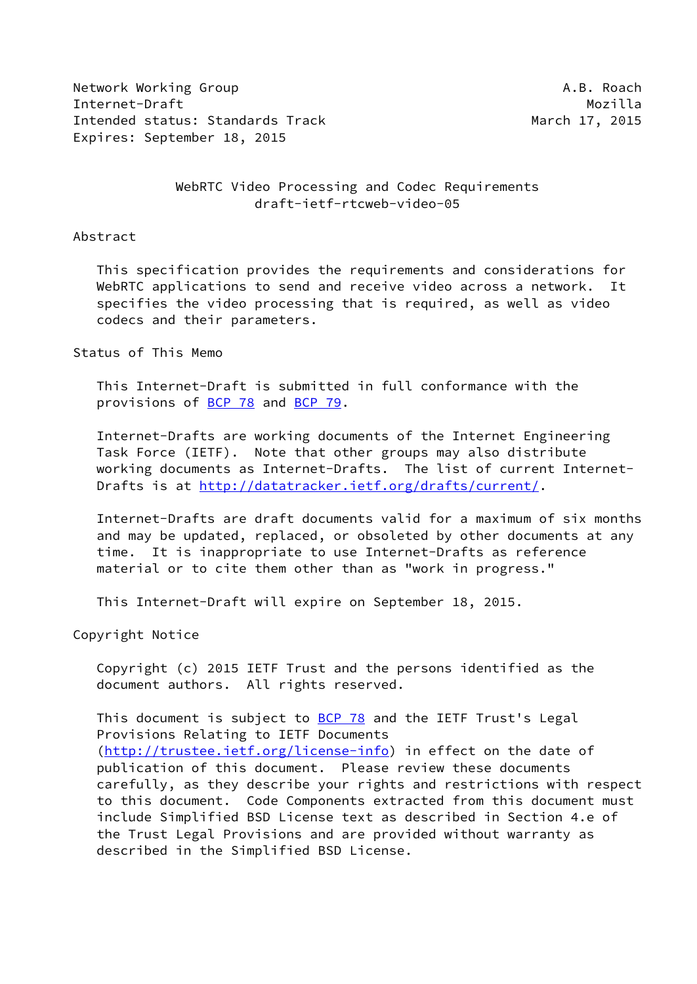Network Working Group **A.B. Roach** Internet-Draft Mozilla Intended status: Standards Track March 17, 2015 Expires: September 18, 2015

 WebRTC Video Processing and Codec Requirements draft-ietf-rtcweb-video-05

### Abstract

 This specification provides the requirements and considerations for WebRTC applications to send and receive video across a network. It specifies the video processing that is required, as well as video codecs and their parameters.

## Status of This Memo

 This Internet-Draft is submitted in full conformance with the provisions of [BCP 78](https://datatracker.ietf.org/doc/pdf/bcp78) and [BCP 79](https://datatracker.ietf.org/doc/pdf/bcp79).

 Internet-Drafts are working documents of the Internet Engineering Task Force (IETF). Note that other groups may also distribute working documents as Internet-Drafts. The list of current Internet Drafts is at<http://datatracker.ietf.org/drafts/current/>.

 Internet-Drafts are draft documents valid for a maximum of six months and may be updated, replaced, or obsoleted by other documents at any time. It is inappropriate to use Internet-Drafts as reference material or to cite them other than as "work in progress."

This Internet-Draft will expire on September 18, 2015.

Copyright Notice

 Copyright (c) 2015 IETF Trust and the persons identified as the document authors. All rights reserved.

This document is subject to **[BCP 78](https://datatracker.ietf.org/doc/pdf/bcp78)** and the IETF Trust's Legal Provisions Relating to IETF Documents [\(http://trustee.ietf.org/license-info](http://trustee.ietf.org/license-info)) in effect on the date of publication of this document. Please review these documents carefully, as they describe your rights and restrictions with respect to this document. Code Components extracted from this document must include Simplified BSD License text as described in Section 4.e of the Trust Legal Provisions and are provided without warranty as described in the Simplified BSD License.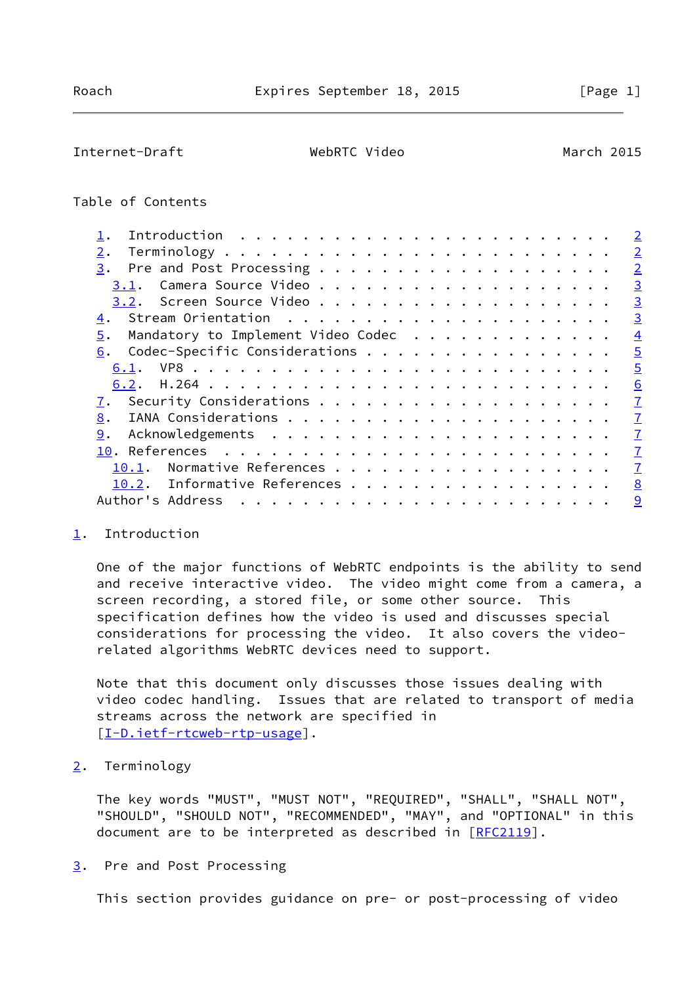### <span id="page-1-1"></span>Internet-Draft WebRTC Video March 2015

# Table of Contents

|                                          | $\overline{2}$ |
|------------------------------------------|----------------|
| 2.                                       | $\overline{2}$ |
| 3.                                       | $\overline{2}$ |
| 3.1.                                     | $\overline{3}$ |
| 3.2.                                     | $\overline{3}$ |
| 4.                                       | $\overline{3}$ |
| Mandatory to Implement Video Codec<br>5. | $\overline{4}$ |
| Codec-Specific Considerations<br>6.      | $\overline{5}$ |
| 6.1.                                     | $\overline{5}$ |
|                                          | 6              |
|                                          | $\overline{1}$ |
| 8.                                       | $\overline{1}$ |
| 9.                                       | $\overline{1}$ |
|                                          | $\overline{1}$ |
| Normative References<br>10.1.            | $\mathcal{I}$  |
| 10.2. Informative References             | 8              |
| Author's Address                         | 9              |
|                                          |                |

## <span id="page-1-0"></span>[1](#page-1-0). Introduction

 One of the major functions of WebRTC endpoints is the ability to send and receive interactive video. The video might come from a camera, a screen recording, a stored file, or some other source. This specification defines how the video is used and discusses special considerations for processing the video. It also covers the video related algorithms WebRTC devices need to support.

 Note that this document only discusses those issues dealing with video codec handling. Issues that are related to transport of media streams across the network are specified in [\[I-D.ietf-rtcweb-rtp-usage](#page-8-1)].

# <span id="page-1-2"></span>[2](#page-1-2). Terminology

 The key words "MUST", "MUST NOT", "REQUIRED", "SHALL", "SHALL NOT", "SHOULD", "SHOULD NOT", "RECOMMENDED", "MAY", and "OPTIONAL" in this document are to be interpreted as described in [REC2119].

## <span id="page-1-3"></span>[3](#page-1-3). Pre and Post Processing

This section provides guidance on pre- or post-processing of video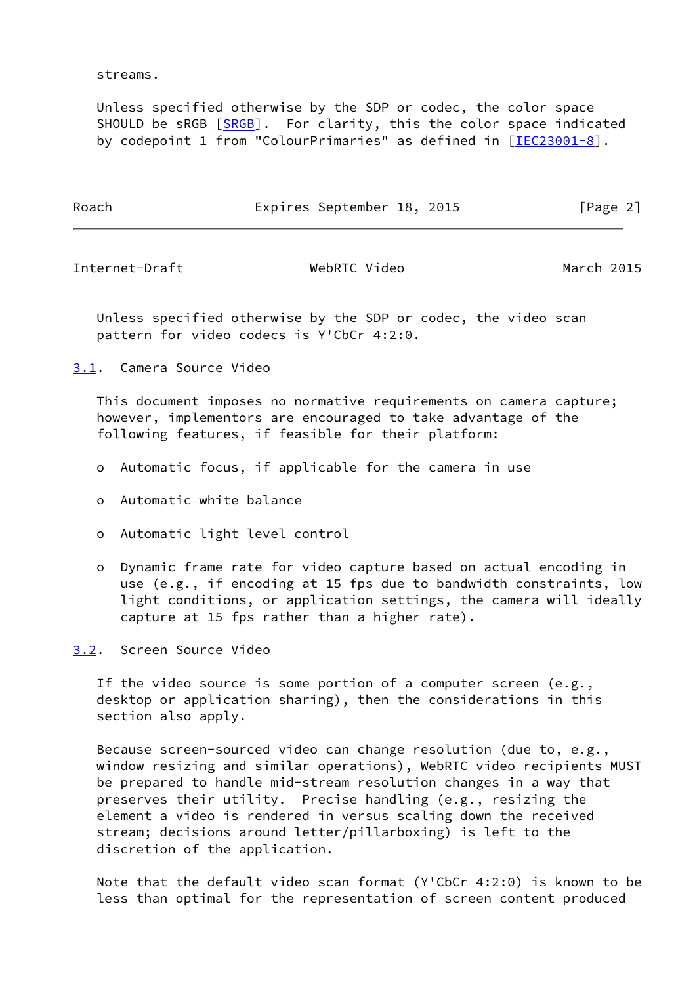streams.

 Unless specified otherwise by the SDP or codec, the color space SHOULD be sRGB [\[SRGB](#page-8-2)]. For clarity, this the color space indicated by codepoint 1 from "ColourPrimaries" as defined in [\[IEC23001-8\]](#page-8-3).

Roach **Expires September 18, 2015** [Page 2]

<span id="page-2-1"></span>Internet-Draft WebRTC Video March 2015

 Unless specified otherwise by the SDP or codec, the video scan pattern for video codecs is Y'CbCr 4:2:0.

<span id="page-2-0"></span>[3.1](#page-2-0). Camera Source Video

 This document imposes no normative requirements on camera capture; however, implementors are encouraged to take advantage of the following features, if feasible for their platform:

- o Automatic focus, if applicable for the camera in use
- o Automatic white balance
- o Automatic light level control
- o Dynamic frame rate for video capture based on actual encoding in use (e.g., if encoding at 15 fps due to bandwidth constraints, low light conditions, or application settings, the camera will ideally capture at 15 fps rather than a higher rate).

<span id="page-2-2"></span>[3.2](#page-2-2). Screen Source Video

 If the video source is some portion of a computer screen (e.g., desktop or application sharing), then the considerations in this section also apply.

 Because screen-sourced video can change resolution (due to, e.g., window resizing and similar operations), WebRTC video recipients MUST be prepared to handle mid-stream resolution changes in a way that preserves their utility. Precise handling (e.g., resizing the element a video is rendered in versus scaling down the received stream; decisions around letter/pillarboxing) is left to the discretion of the application.

 Note that the default video scan format (Y'CbCr 4:2:0) is known to be less than optimal for the representation of screen content produced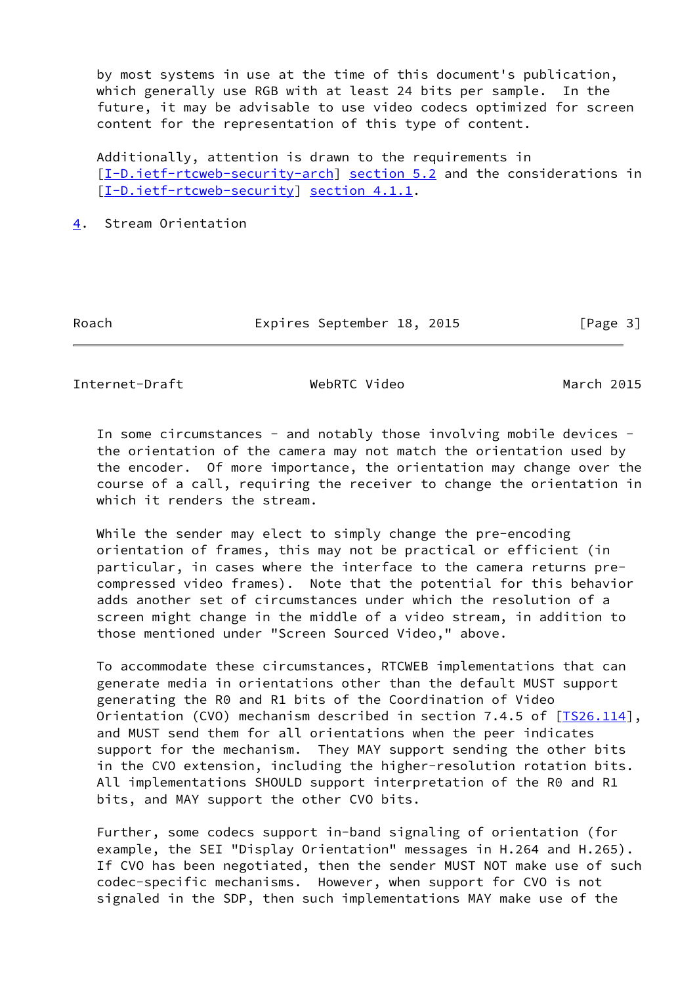by most systems in use at the time of this document's publication, which generally use RGB with at least 24 bits per sample. In the future, it may be advisable to use video codecs optimized for screen content for the representation of this type of content.

 Additionally, attention is drawn to the requirements in [\[I-D.ietf-rtcweb-security-arch](#page-8-4)] section 5.2 and the considerations in [\[I-D.ietf-rtcweb-security](#page-9-1)] section 4.1.1.

<span id="page-3-0"></span>[4](#page-3-0). Stream Orientation

Roach **Expires September 18, 2015** [Page 3]

<span id="page-3-1"></span>Internet-Draft WebRTC Video March 2015

 In some circumstances - and notably those involving mobile devices the orientation of the camera may not match the orientation used by the encoder. Of more importance, the orientation may change over the course of a call, requiring the receiver to change the orientation in which it renders the stream.

 While the sender may elect to simply change the pre-encoding orientation of frames, this may not be practical or efficient (in particular, in cases where the interface to the camera returns pre compressed video frames). Note that the potential for this behavior adds another set of circumstances under which the resolution of a screen might change in the middle of a video stream, in addition to those mentioned under "Screen Sourced Video," above.

 To accommodate these circumstances, RTCWEB implementations that can generate media in orientations other than the default MUST support generating the R0 and R1 bits of the Coordination of Video Orientation (CVO) mechanism described in section 7.4.5 of [[TS26.114\]](#page-8-5), and MUST send them for all orientations when the peer indicates support for the mechanism. They MAY support sending the other bits in the CVO extension, including the higher-resolution rotation bits. All implementations SHOULD support interpretation of the R0 and R1 bits, and MAY support the other CVO bits.

 Further, some codecs support in-band signaling of orientation (for example, the SEI "Display Orientation" messages in H.264 and H.265). If CVO has been negotiated, then the sender MUST NOT make use of such codec-specific mechanisms. However, when support for CVO is not signaled in the SDP, then such implementations MAY make use of the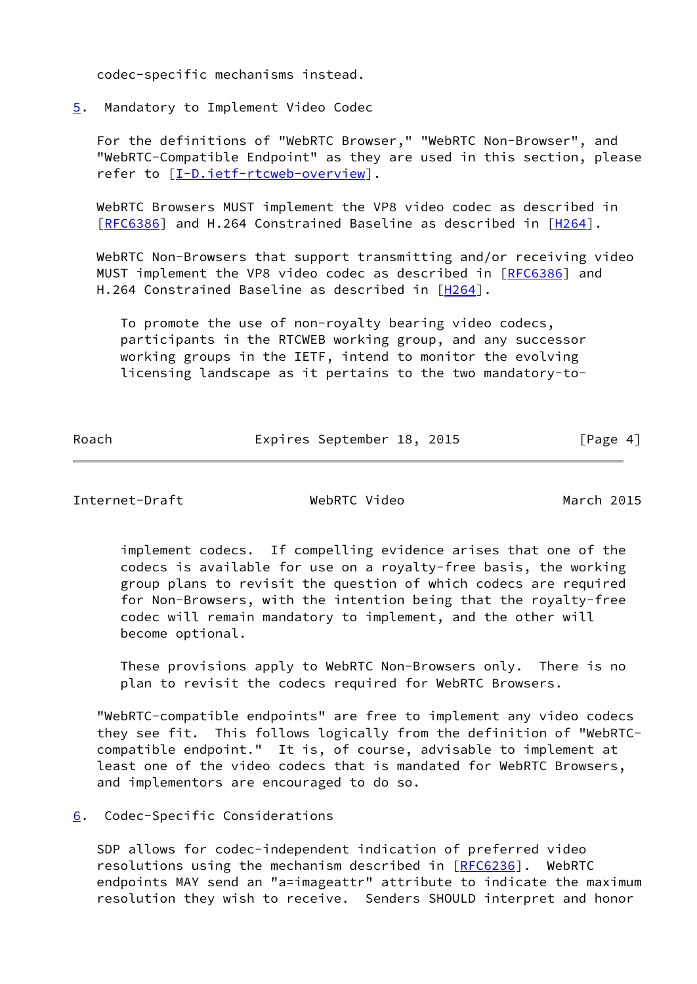codec-specific mechanisms instead.

<span id="page-4-0"></span>[5](#page-4-0). Mandatory to Implement Video Codec

 For the definitions of "WebRTC Browser," "WebRTC Non-Browser", and "WebRTC-Compatible Endpoint" as they are used in this section, please refer to [\[I-D.ietf-rtcweb-overview](#page-7-5)].

 WebRTC Browsers MUST implement the VP8 video codec as described in [\[RFC6386](https://datatracker.ietf.org/doc/pdf/rfc6386)] and H.264 Constrained Baseline as described in [\[H264](#page-7-6)].

 WebRTC Non-Browsers that support transmitting and/or receiving video MUST implement the VP8 video codec as described in [[RFC6386\]](https://datatracker.ietf.org/doc/pdf/rfc6386) and H.264 Constrained Baseline as described in [[H264\]](#page-7-6).

 To promote the use of non-royalty bearing video codecs, participants in the RTCWEB working group, and any successor working groups in the IETF, intend to monitor the evolving licensing landscape as it pertains to the two mandatory-to-

Roach **Expires September 18, 2015** [Page 4]

<span id="page-4-2"></span>Internet-Draft WebRTC Video March 2015

 implement codecs. If compelling evidence arises that one of the codecs is available for use on a royalty-free basis, the working group plans to revisit the question of which codecs are required for Non-Browsers, with the intention being that the royalty-free codec will remain mandatory to implement, and the other will become optional.

 These provisions apply to WebRTC Non-Browsers only. There is no plan to revisit the codecs required for WebRTC Browsers.

 "WebRTC-compatible endpoints" are free to implement any video codecs they see fit. This follows logically from the definition of "WebRTC compatible endpoint." It is, of course, advisable to implement at least one of the video codecs that is mandated for WebRTC Browsers, and implementors are encouraged to do so.

<span id="page-4-1"></span>[6](#page-4-1). Codec-Specific Considerations

 SDP allows for codec-independent indication of preferred video resolutions using the mechanism described in [\[RFC6236](https://datatracker.ietf.org/doc/pdf/rfc6236)]. WebRTC endpoints MAY send an "a=imageattr" attribute to indicate the maximum resolution they wish to receive. Senders SHOULD interpret and honor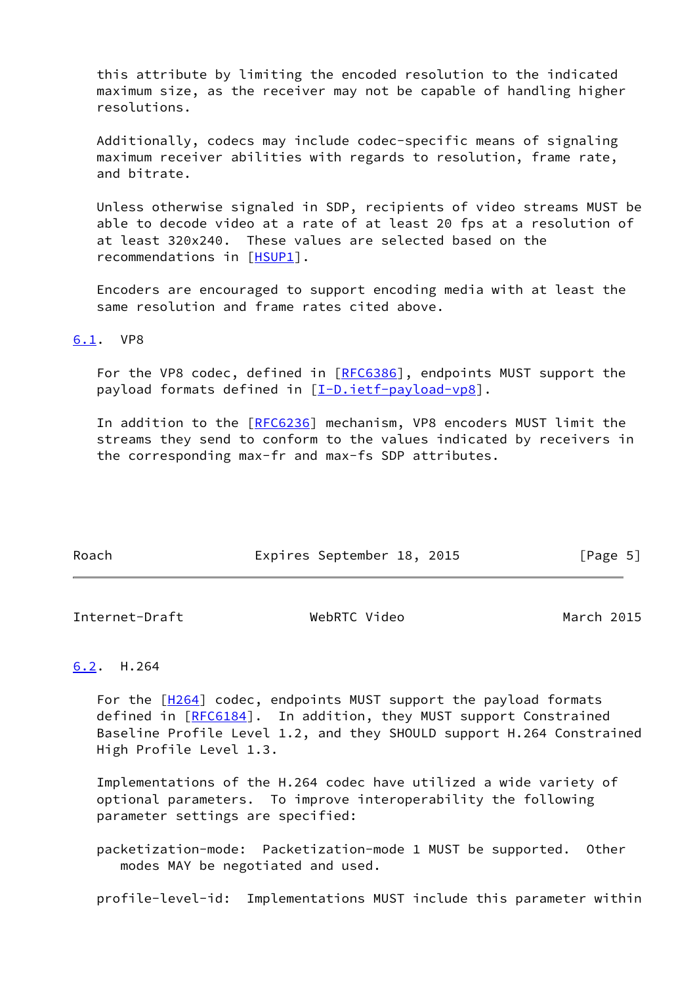this attribute by limiting the encoded resolution to the indicated maximum size, as the receiver may not be capable of handling higher resolutions.

 Additionally, codecs may include codec-specific means of signaling maximum receiver abilities with regards to resolution, frame rate, and bitrate.

 Unless otherwise signaled in SDP, recipients of video streams MUST be able to decode video at a rate of at least 20 fps at a resolution of at least 320x240. These values are selected based on the recommendations in [[HSUP1\]](#page-7-7).

 Encoders are encouraged to support encoding media with at least the same resolution and frame rates cited above.

<span id="page-5-0"></span>[6.1](#page-5-0). VP8

 For the VP8 codec, defined in [[RFC6386](https://datatracker.ietf.org/doc/pdf/rfc6386)], endpoints MUST support the payload formats defined in [[I-D.ietf-payload-vp8\]](#page-7-8).

In addition to the [[RFC6236\]](https://datatracker.ietf.org/doc/pdf/rfc6236) mechanism, VP8 encoders MUST limit the streams they send to conform to the values indicated by receivers in the corresponding max-fr and max-fs SDP attributes.

| Roach | Expires September 18, 2015 |  | [Page 5] |
|-------|----------------------------|--|----------|

<span id="page-5-2"></span>Internet-Draft WebRTC Video March 2015

# <span id="page-5-1"></span>[6.2](#page-5-1). H.264

For the  $[H264]$  $[H264]$  codec, endpoints MUST support the payload formats defined in [[RFC6184\]](https://datatracker.ietf.org/doc/pdf/rfc6184). In addition, they MUST support Constrained Baseline Profile Level 1.2, and they SHOULD support H.264 Constrained High Profile Level 1.3.

 Implementations of the H.264 codec have utilized a wide variety of optional parameters. To improve interoperability the following parameter settings are specified:

 packetization-mode: Packetization-mode 1 MUST be supported. Other modes MAY be negotiated and used.

profile-level-id: Implementations MUST include this parameter within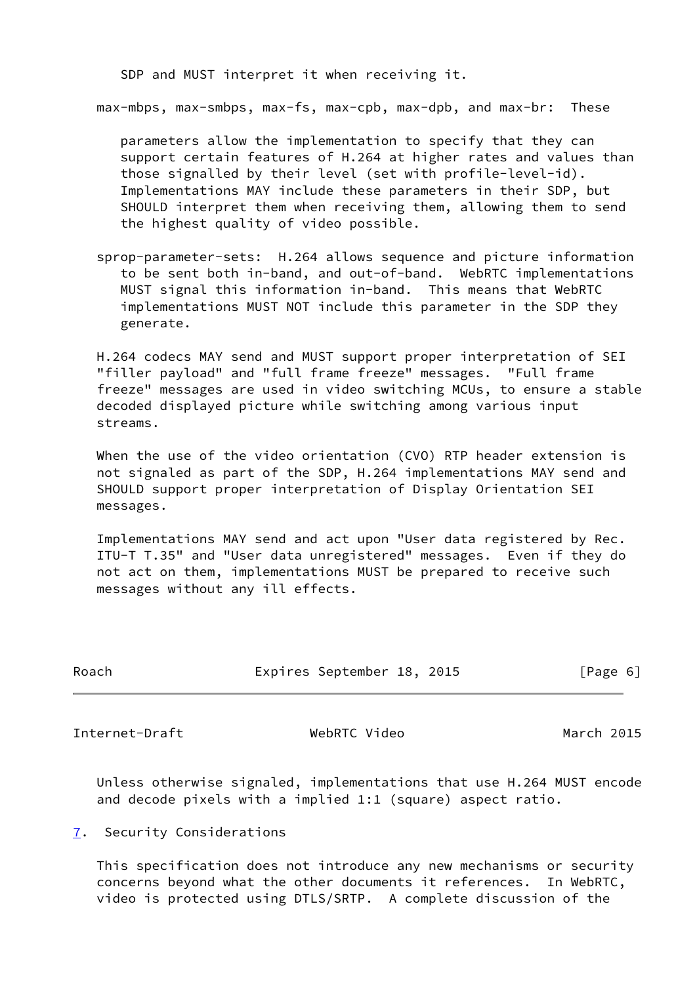SDP and MUST interpret it when receiving it.

max-mbps, max-smbps, max-fs, max-cpb, max-dpb, and max-br: These

 parameters allow the implementation to specify that they can support certain features of H.264 at higher rates and values than those signalled by their level (set with profile-level-id). Implementations MAY include these parameters in their SDP, but SHOULD interpret them when receiving them, allowing them to send the highest quality of video possible.

 sprop-parameter-sets: H.264 allows sequence and picture information to be sent both in-band, and out-of-band. WebRTC implementations MUST signal this information in-band. This means that WebRTC implementations MUST NOT include this parameter in the SDP they generate.

 H.264 codecs MAY send and MUST support proper interpretation of SEI "filler payload" and "full frame freeze" messages. "Full frame freeze" messages are used in video switching MCUs, to ensure a stable decoded displayed picture while switching among various input streams.

 When the use of the video orientation (CVO) RTP header extension is not signaled as part of the SDP, H.264 implementations MAY send and SHOULD support proper interpretation of Display Orientation SEI messages.

 Implementations MAY send and act upon "User data registered by Rec. ITU-T T.35" and "User data unregistered" messages. Even if they do not act on them, implementations MUST be prepared to receive such messages without any ill effects.

| Roach | Expires September 18, 2015 |  | [Page 6] |  |
|-------|----------------------------|--|----------|--|
|       |                            |  |          |  |

<span id="page-6-1"></span>Internet-Draft WebRTC Video March 2015

 Unless otherwise signaled, implementations that use H.264 MUST encode and decode pixels with a implied 1:1 (square) aspect ratio.

### <span id="page-6-0"></span>[7](#page-6-0). Security Considerations

 This specification does not introduce any new mechanisms or security concerns beyond what the other documents it references. In WebRTC, video is protected using DTLS/SRTP. A complete discussion of the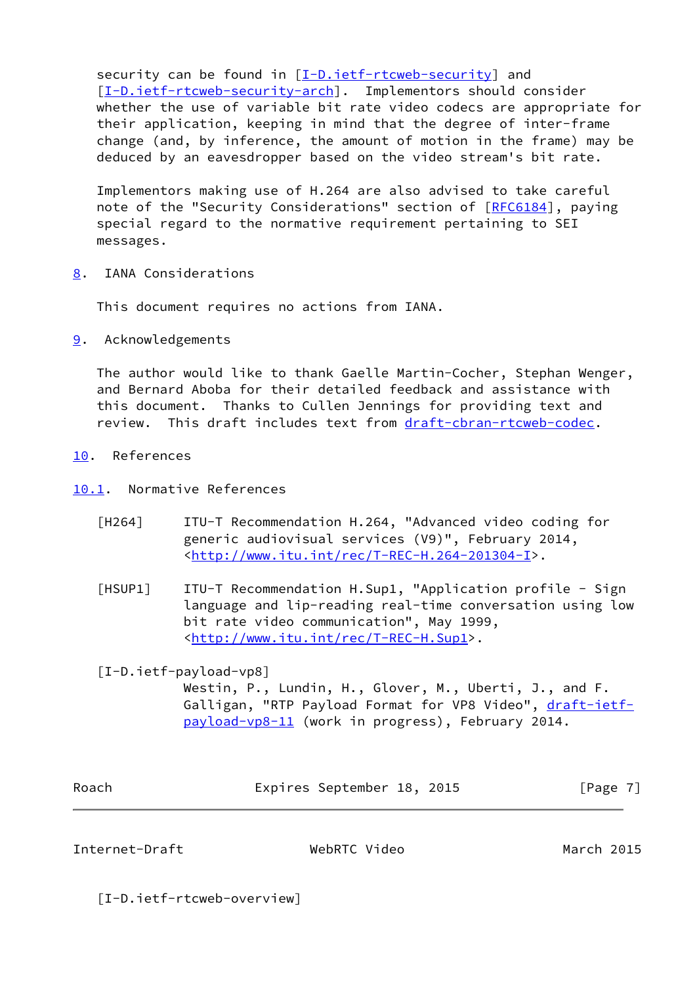security can be found in [\[I-D.ietf-rtcweb-security](#page-9-1)] and [\[I-D.ietf-rtcweb-security-arch](#page-8-4)]. Implementors should consider whether the use of variable bit rate video codecs are appropriate for their application, keeping in mind that the degree of inter-frame change (and, by inference, the amount of motion in the frame) may be deduced by an eavesdropper based on the video stream's bit rate.

 Implementors making use of H.264 are also advised to take careful note of the "Security Considerations" section of [\[RFC6184](https://datatracker.ietf.org/doc/pdf/rfc6184)], paying special regard to the normative requirement pertaining to SEI messages.

<span id="page-7-0"></span>[8](#page-7-0). IANA Considerations

This document requires no actions from IANA.

<span id="page-7-1"></span>[9](#page-7-1). Acknowledgements

 The author would like to thank Gaelle Martin-Cocher, Stephan Wenger, and Bernard Aboba for their detailed feedback and assistance with this document. Thanks to Cullen Jennings for providing text and review. This draft includes text from [draft-cbran-rtcweb-codec.](https://datatracker.ietf.org/doc/pdf/draft-cbran-rtcweb-codec)

- <span id="page-7-2"></span>[10.](#page-7-2) References
- <span id="page-7-6"></span><span id="page-7-3"></span>[10.1](#page-7-3). Normative References
	- [H264] ITU-T Recommendation H.264, "Advanced video coding for generic audiovisual services (V9)", February 2014, <[http://www.itu.int/rec/T-REC-H.264-201304-I>](http://www.itu.int/rec/T-REC-H.264-201304-I).
	- [HSUP1] ITU-T Recommendation H.Sup1, "Application profile Sign language and lip-reading real-time conversation using low bit rate video communication", May 1999, <[http://www.itu.int/rec/T-REC-H.Sup1>](http://www.itu.int/rec/T-REC-H.Sup1).

<span id="page-7-8"></span><span id="page-7-7"></span>[I-D.ietf-payload-vp8]

 Westin, P., Lundin, H., Glover, M., Uberti, J., and F. Galligan, "RTP Payload Format for VP8 Video", [draft-ietf](https://datatracker.ietf.org/doc/pdf/draft-ietf-payload-vp8-11) [payload-vp8-11](https://datatracker.ietf.org/doc/pdf/draft-ietf-payload-vp8-11) (work in progress), February 2014.

| Roach | Expires September 18, 2015 |  | [Page 7] |
|-------|----------------------------|--|----------|
|       |                            |  |          |

<span id="page-7-4"></span>Internet-Draft WebRTC Video March 2015

<span id="page-7-5"></span>[I-D.ietf-rtcweb-overview]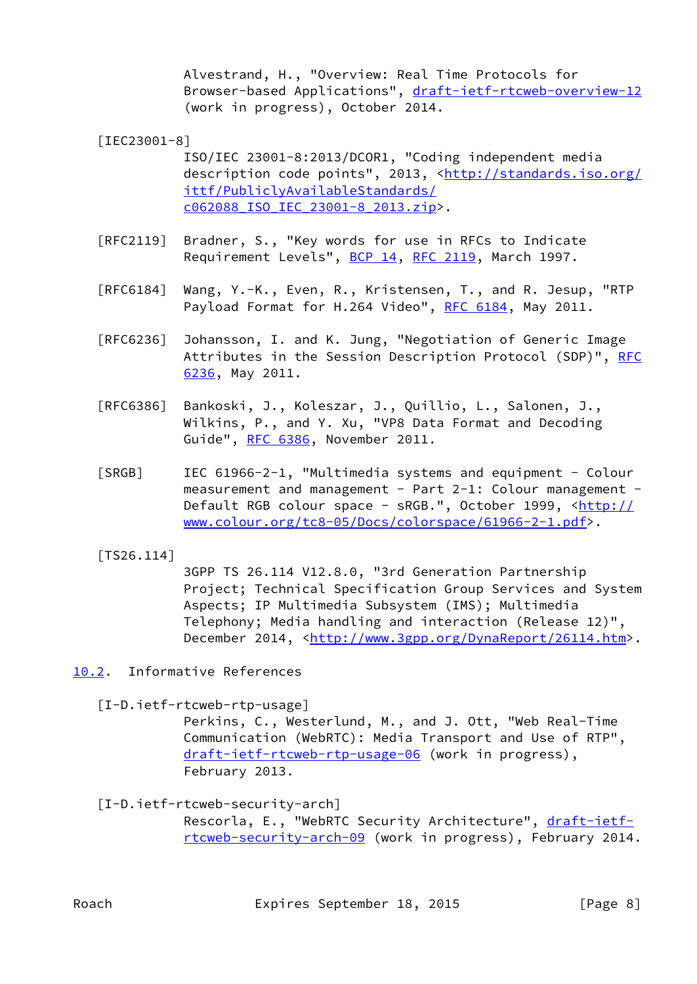Alvestrand, H., "Overview: Real Time Protocols for Browser-based Applications", [draft-ietf-rtcweb-overview-12](https://datatracker.ietf.org/doc/pdf/draft-ietf-rtcweb-overview-12) (work in progress), October 2014.

<span id="page-8-3"></span>[IEC23001-8]

 ISO/IEC 23001-8:2013/DCOR1, "Coding independent media description code points", 2013, <[http://standards.iso.org/](http://standards.iso.org/ittf/PubliclyAvailableStandards/c062088_ISO_IEC_23001-8_2013.zip) [ittf/PubliclyAvailableStandards/](http://standards.iso.org/ittf/PubliclyAvailableStandards/c062088_ISO_IEC_23001-8_2013.zip) [c062088\\_ISO\\_IEC\\_23001-8\\_2013.zip>](http://standards.iso.org/ittf/PubliclyAvailableStandards/c062088_ISO_IEC_23001-8_2013.zip).

- [RFC2119] Bradner, S., "Key words for use in RFCs to Indicate Requirement Levels", [BCP 14](https://datatracker.ietf.org/doc/pdf/bcp14), [RFC 2119](https://datatracker.ietf.org/doc/pdf/rfc2119), March 1997.
- [RFC6184] Wang, Y.-K., Even, R., Kristensen, T., and R. Jesup, "RTP Payload Format for H.264 Video", [RFC 6184,](https://datatracker.ietf.org/doc/pdf/rfc6184) May 2011.
- [RFC6236] Johansson, I. and K. Jung, "Negotiation of Generic Image Attributes in the Session Description Protocol (SDP)", [RFC](https://datatracker.ietf.org/doc/pdf/rfc6236) [6236,](https://datatracker.ietf.org/doc/pdf/rfc6236) May 2011.
- [RFC6386] Bankoski, J., Koleszar, J., Quillio, L., Salonen, J., Wilkins, P., and Y. Xu, "VP8 Data Format and Decoding Guide", [RFC 6386,](https://datatracker.ietf.org/doc/pdf/rfc6386) November 2011.
- <span id="page-8-2"></span> [SRGB] IEC 61966-2-1, "Multimedia systems and equipment - Colour measurement and management - Part 2-1: Colour management -Default RGB colour space - sRGB.", October 1999, [<http://](http://www.colour.org/tc8-05/Docs/colorspace/61966-2-1.pdf) [www.colour.org/tc8-05/Docs/colorspace/61966-2-1.pdf](http://www.colour.org/tc8-05/Docs/colorspace/61966-2-1.pdf)>.
- <span id="page-8-5"></span>[TS26.114]

 3GPP TS 26.114 V12.8.0, "3rd Generation Partnership Project; Technical Specification Group Services and System Aspects; IP Multimedia Subsystem (IMS); Multimedia Telephony; Media handling and interaction (Release 12)", December 2014, <[http://www.3gpp.org/DynaReport/26114.htm>](http://www.3gpp.org/DynaReport/26114.htm).

<span id="page-8-0"></span>[10.2](#page-8-0). Informative References

<span id="page-8-1"></span>[I-D.ietf-rtcweb-rtp-usage]

 Perkins, C., Westerlund, M., and J. Ott, "Web Real-Time Communication (WebRTC): Media Transport and Use of RTP", [draft-ietf-rtcweb-rtp-usage-06](https://datatracker.ietf.org/doc/pdf/draft-ietf-rtcweb-rtp-usage-06) (work in progress), February 2013.

<span id="page-8-4"></span>[I-D.ietf-rtcweb-security-arch]

Rescorla, E., "WebRTC Security Architecture", [draft-ietf](https://datatracker.ietf.org/doc/pdf/draft-ietf-rtcweb-security-arch-09) [rtcweb-security-arch-09](https://datatracker.ietf.org/doc/pdf/draft-ietf-rtcweb-security-arch-09) (work in progress), February 2014.